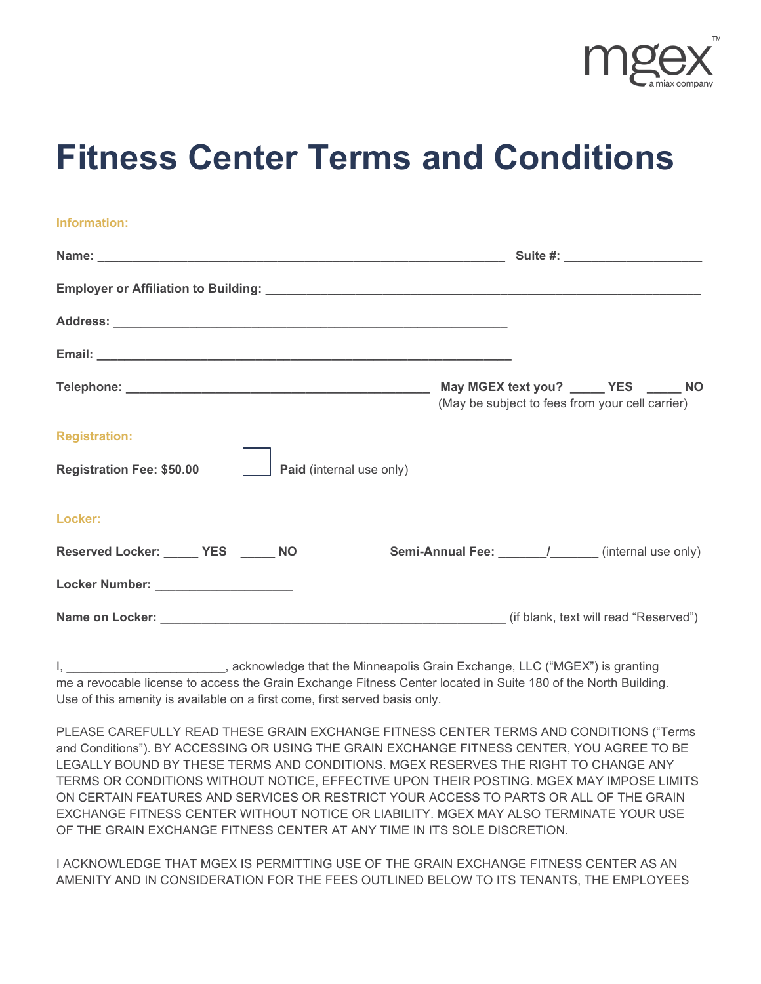

## **Fitness Center Terms and Conditions**

| Information:                                                 |                                                             |
|--------------------------------------------------------------|-------------------------------------------------------------|
|                                                              |                                                             |
|                                                              |                                                             |
|                                                              |                                                             |
|                                                              |                                                             |
|                                                              | (May be subject to fees from your cell carrier)             |
| <b>Registration:</b>                                         |                                                             |
| <b>Registration Fee: \$50.00</b><br>Paid (internal use only) |                                                             |
| Locker:                                                      |                                                             |
| Reserved Locker: ______ YES _____ NO                         | <b>Semi-Annual Fee:</b> ________/_______(internal use only) |
| Locker Number: ____________________                          |                                                             |
|                                                              |                                                             |

I, **I, Acknowledge that the Minneapolis Grain Exchange, LLC ("MGEX")** is granting me a revocable license to access the Grain Exchange Fitness Center located in Suite 180 of the North Building. Use of this amenity is available on a first come, first served basis only.

PLEASE CAREFULLY READ THESE GRAIN EXCHANGE FITNESS CENTER TERMS AND CONDITIONS ("Terms and Conditions"). BY ACCESSING OR USING THE GRAIN EXCHANGE FITNESS CENTER, YOU AGREE TO BE LEGALLY BOUND BY THESE TERMS AND CONDITIONS. MGEX RESERVES THE RIGHT TO CHANGE ANY TERMS OR CONDITIONS WITHOUT NOTICE, EFFECTIVE UPON THEIR POSTING. MGEX MAY IMPOSE LIMITS ON CERTAIN FEATURES AND SERVICES OR RESTRICT YOUR ACCESS TO PARTS OR ALL OF THE GRAIN EXCHANGE FITNESS CENTER WITHOUT NOTICE OR LIABILITY. MGEX MAY ALSO TERMINATE YOUR USE OF THE GRAIN EXCHANGE FITNESS CENTER AT ANY TIME IN ITS SOLE DISCRETION.

I ACKNOWLEDGE THAT MGEX IS PERMITTING USE OF THE GRAIN EXCHANGE FITNESS CENTER AS AN AMENITY AND IN CONSIDERATION FOR THE FEES OUTLINED BELOW TO ITS TENANTS, THE EMPLOYEES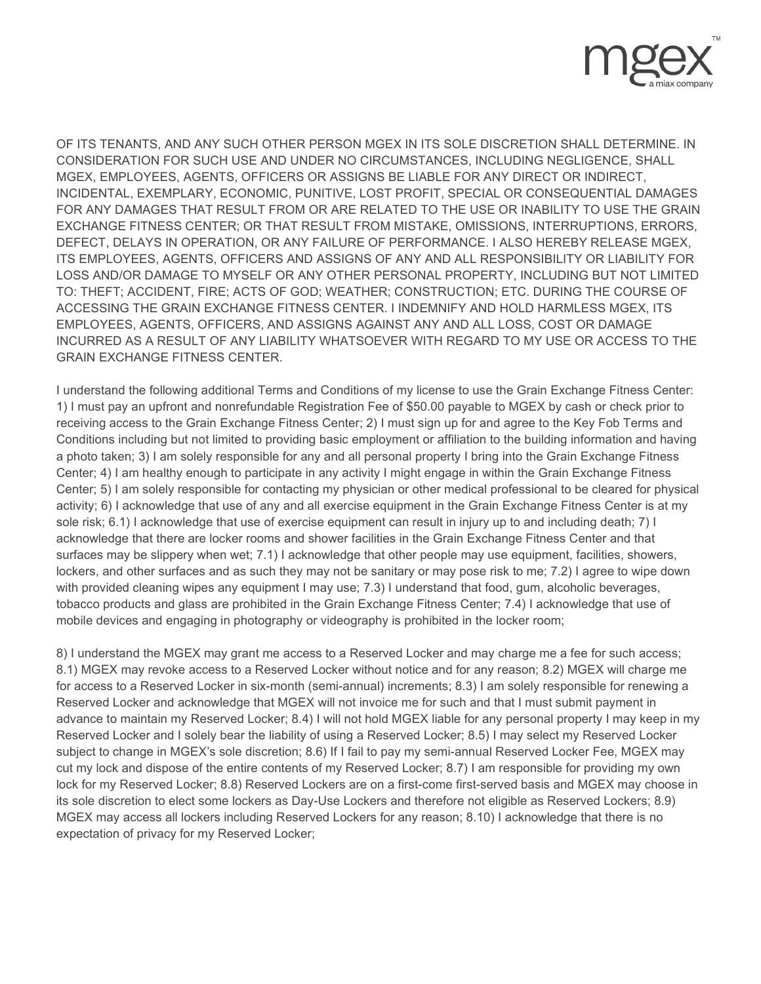

OF ITS TENANTS, AND ANY SUCH OTHER PERSON MGEX IN ITS SOLE DISCRETION SHALL DETERMINE. IN CONSIDERATION FOR SUCH USE AND UNDER NO CIRCUMSTANCES, INCLUDING NEGLIGENCE, SHALL MGEX, EMPLOYEES, AGENTS, OFFICERS OR ASSIGNS BE LIABLE FOR ANY DIRECT OR INDIRECT, INCIDENTAL, EXEMPLARY, ECONOMIC, PUNITIVE, LOST PROFIT, SPECIAL OR CONSEQUENTIAL DAMAGES FOR ANY DAMAGES THAT RESULT FROM OR ARE RELATED TO THE USE OR INABILITY TO USE THE GRAIN EXCHANGE FITNESS CENTER; OR THAT RESULT FROM MISTAKE, OMISSIONS, INTERRUPTIONS, ERRORS, DEFECT, DELAYS IN OPERATION, OR ANY FAILURE OF PERFORMANCE. I ALSO HEREBY RELEASE MGEX, ITS EMPLOYEES, AGENTS, OFFICERS AND ASSIGNS OF ANY AND ALL RESPONSIBILITY OR LIABILITY FOR LOSS AND/OR DAMAGE TO MYSELF OR ANY OTHER PERSONAL PROPERTY, INCLUDING BUT NOT LIMITED TO: THEFT; ACCIDENT, FIRE; ACTS OF GOD; WEATHER; CONSTRUCTION; ETC. DURING THE COURSE OF ACCESSING THE GRAIN EXCHANGE FITNESS CENTER. I INDEMNIFY AND HOLD HARMLESS MGEX, ITS EMPLOYEES, AGENTS, OFFICERS, AND ASSIGNS AGAINST ANY AND ALL LOSS, COST OR DAMAGE INCURRED AS A RESULT OF ANY LIABILITY WHATSOEVER WITH REGARD TO MY USE OR ACCESS TO THE GRAIN EXCHANGE FITNESS CENTER.

I understand the following additional Terms and Conditions of my license to use the Grain Exchange Fitness Center: 1) I must pay an upfront and nonrefundable Registration Fee of \$50.00 payable to MGEX by cash or check prior to receiving access to the Grain Exchange Fitness Center; 2) I must sign up for and agree to the Key Fob Terms and Conditions including but not limited to providing basic employment or affiliation to the building information and having a photo taken; 3) I am solely responsible for any and all personal property I bring into the Grain Exchange Fitness Center; 4) I am healthy enough to participate in any activity I might engage in within the Grain Exchange Fitness Center; 5) I am solely responsible for contacting my physician or other medical professional to be cleared for physical activity; 6) I acknowledge that use of any and all exercise equipment in the Grain Exchange Fitness Center is at my sole risk; 6.1) I acknowledge that use of exercise equipment can result in injury up to and including death; 7) I acknowledge that there are locker rooms and shower facilities in the Grain Exchange Fitness Center and that surfaces may be slippery when wet; 7.1) I acknowledge that other people may use equipment, facilities, showers, lockers, and other surfaces and as such they may not be sanitary or may pose risk to me; 7.2) I agree to wipe down with provided cleaning wipes any equipment I may use; 7.3) I understand that food, gum, alcoholic beverages, tobacco products and glass are prohibited in the Grain Exchange Fitness Center; 7.4) I acknowledge that use of mobile devices and engaging in photography or videography is prohibited in the locker room;

8) I understand the MGEX may grant me access to a Reserved Locker and may charge me a fee for such access; 8.1) MGEX may revoke access to a Reserved Locker without notice and for any reason; 8.2) MGEX will charge me for access to a Reserved Locker in six-month (semi-annual) increments; 8.3) I am solely responsible for renewing a Reserved Locker and acknowledge that MGEX will not invoice me for such and that I must submit payment in advance to maintain my Reserved Locker; 8.4) I will not hold MGEX liable for any personal property I may keep in my Reserved Locker and I solely bear the liability of using a Reserved Locker; 8.5) I may select my Reserved Locker subject to change in MGEX's sole discretion; 8.6) If I fail to pay my semi-annual Reserved Locker Fee, MGEX may cut my lock and dispose of the entire contents of my Reserved Locker; 8.7) I am responsible for providing my own lock for my Reserved Locker; 8.8) Reserved Lockers are on a first-come first-served basis and MGEX may choose in its sole discretion to elect some lockers as Day-Use Lockers and therefore not eligible as Reserved Lockers; 8.9) MGEX may access all lockers including Reserved Lockers for any reason; 8.10) I acknowledge that there is no expectation of privacy for my Reserved Locker;